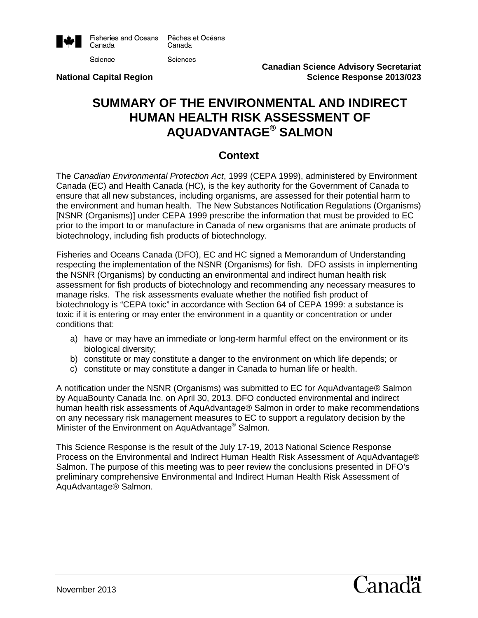

# **SUMMARY OF THE ENVIRONMENTAL AND INDIRECT HUMAN HEALTH RISK ASSESSMENT OF AQUADVANTAGE® SALMON**

## **Context**

The *Canadian Environmental Protection Act*, 1999 (CEPA 1999), administered by Environment Canada (EC) and Health Canada (HC), is the key authority for the Government of Canada to ensure that all new substances, including organisms, are assessed for their potential harm to the environment and human health. The New Substances Notification Regulations (Organisms) [NSNR (Organisms)] under CEPA 1999 prescribe the information that must be provided to EC prior to the import to or manufacture in Canada of new organisms that are animate products of biotechnology, including fish products of biotechnology.

Fisheries and Oceans Canada (DFO), EC and HC signed a Memorandum of Understanding respecting the implementation of the NSNR (Organisms) for fish. DFO assists in implementing the NSNR (Organisms) by conducting an environmental and indirect human health risk assessment for fish products of biotechnology and recommending any necessary measures to manage risks. The risk assessments evaluate whether the notified fish product of biotechnology is "CEPA toxic" in accordance with Section 64 of CEPA 1999: a substance is toxic if it is entering or may enter the environment in a quantity or concentration or under conditions that:

- a) have or may have an immediate or long-term harmful effect on the environment or its biological diversity;
- b) constitute or may constitute a danger to the environment on which life depends; or
- c) constitute or may constitute a danger in Canada to human life or health.

A notification under the NSNR (Organisms) was submitted to EC for AquAdvantage® Salmon by AquaBounty Canada Inc. on April 30, 2013. DFO conducted environmental and indirect human health risk assessments of AquAdvantage® Salmon in order to make recommendations on any necessary risk management measures to EC to support a regulatory decision by the Minister of the Environment on AquAdvantage<sup>®</sup> Salmon.

This Science Response is the result of the July 17-19, 2013 National Science Response Process on the Environmental and Indirect Human Health Risk Assessment of AquAdvantage® Salmon. The purpose of this meeting was to peer review the conclusions presented in DFO's preliminary comprehensive Environmental and Indirect Human Health Risk Assessment of AquAdvantage® Salmon.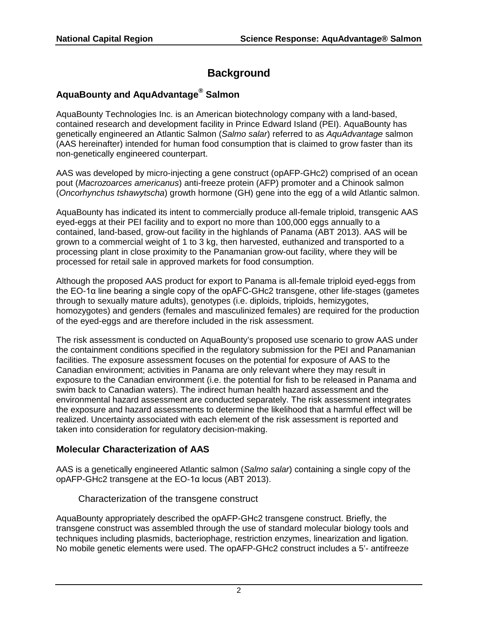# **Background**

# **AquaBounty and AquAdvantage® Salmon**

AquaBounty Technologies Inc. is an American biotechnology company with a land-based, contained research and development facility in Prince Edward Island (PEI). AquaBounty has genetically engineered an Atlantic Salmon (*Salmo salar*) referred to as *AquAdvantage* salmon (AAS hereinafter) intended for human food consumption that is claimed to grow faster than its non-genetically engineered counterpart.

AAS was developed by micro-injecting a gene construct (opAFP-GHc2) comprised of an ocean pout (*Macrozoarces americanus*) anti-freeze protein (AFP) promoter and a Chinook salmon (*Oncorhynchus tshawytscha*) growth hormone (GH) gene into the egg of a wild Atlantic salmon.

AquaBounty has indicated its intent to commercially produce all-female triploid, transgenic AAS eyed-eggs at their PEI facility and to export no more than 100,000 eggs annually to a contained, land-based, grow-out facility in the highlands of Panama (ABT 2013). AAS will be grown to a commercial weight of 1 to 3 kg, then harvested, euthanized and transported to a processing plant in close proximity to the Panamanian grow-out facility, where they will be processed for retail sale in approved markets for food consumption.

Although the proposed AAS product for export to Panama is all-female triploid eyed-eggs from the EO-1α line bearing a single copy of the opAFC-GHc2 transgene, other life-stages (gametes through to sexually mature adults), genotypes (i.e. diploids, triploids, hemizygotes, homozygotes) and genders (females and masculinized females) are required for the production of the eyed-eggs and are therefore included in the risk assessment.

The risk assessment is conducted on AquaBounty's proposed use scenario to grow AAS under the containment conditions specified in the regulatory submission for the PEI and Panamanian facilities. The exposure assessment focuses on the potential for exposure of AAS to the Canadian environment; activities in Panama are only relevant where they may result in exposure to the Canadian environment (i.e. the potential for fish to be released in Panama and swim back to Canadian waters). The indirect human health hazard assessment and the environmental hazard assessment are conducted separately. The risk assessment integrates the exposure and hazard assessments to determine the likelihood that a harmful effect will be realized. Uncertainty associated with each element of the risk assessment is reported and taken into consideration for regulatory decision-making.

#### **Molecular Characterization of AAS**

AAS is a genetically engineered Atlantic salmon (*Salmo salar*) containing a single copy of the opAFP-GHc2 transgene at the EO-1α locus (ABT 2013).

Characterization of the transgene construct

AquaBounty appropriately described the opAFP-GHc2 transgene construct. Briefly, the transgene construct was assembled through the use of standard molecular biology tools and techniques including plasmids, bacteriophage, restriction enzymes, linearization and ligation. No mobile genetic elements were used. The opAFP-GHc2 construct includes a 5'- antifreeze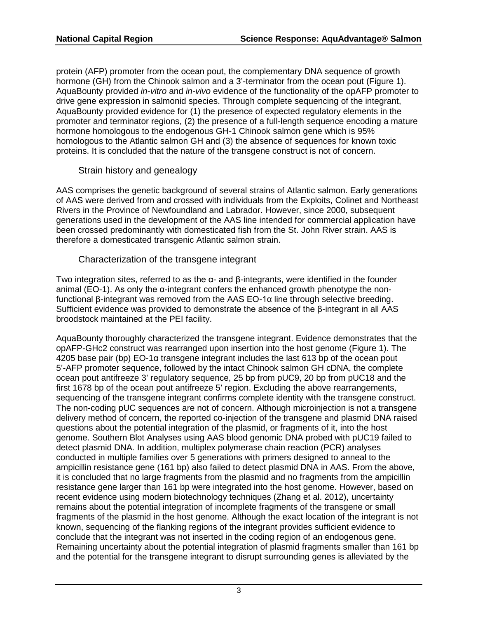protein (AFP) promoter from the ocean pout, the complementary DNA sequence of growth hormone (GH) from the Chinook salmon and a 3'-terminator from the ocean pout (Figure 1). AquaBounty provided *in-vitro* and *in-vivo* evidence of the functionality of the opAFP promoter to drive gene expression in salmonid species. Through complete sequencing of the integrant, AquaBounty provided evidence for (1) the presence of expected regulatory elements in the promoter and terminator regions, (2) the presence of a full-length sequence encoding a mature hormone homologous to the endogenous GH-1 Chinook salmon gene which is 95% homologous to the Atlantic salmon GH and (3) the absence of sequences for known toxic proteins. It is concluded that the nature of the transgene construct is not of concern.

#### Strain history and genealogy

AAS comprises the genetic background of several strains of Atlantic salmon. Early generations of AAS were derived from and crossed with individuals from the Exploits, Colinet and Northeast Rivers in the Province of Newfoundland and Labrador. However, since 2000, subsequent generations used in the development of the AAS line intended for commercial application have been crossed predominantly with domesticated fish from the St. John River strain. AAS is therefore a domesticated transgenic Atlantic salmon strain.

#### Characterization of the transgene integrant

Two integration sites, referred to as the α- and β-integrants, were identified in the founder animal (EO-1). As only the α-integrant confers the enhanced growth phenotype the nonfunctional β-integrant was removed from the AAS EO-1α line through selective breeding. Sufficient evidence was provided to demonstrate the absence of the β-integrant in all AAS broodstock maintained at the PEI facility.

AquaBounty thoroughly characterized the transgene integrant. Evidence demonstrates that the opAFP-GHc2 construct was rearranged upon insertion into the host genome (Figure 1). The  $4205$  base pair (bp) EO-1α transgene integrant includes the last 613 bp of the ocean pout 5'-AFP promoter sequence, followed by the intact Chinook salmon GH cDNA, the complete ocean pout antifreeze 3' regulatory sequence, 25 bp from pUC9, 20 bp from pUC18 and the first 1678 bp of the ocean pout antifreeze 5' region. Excluding the above rearrangements, sequencing of the transgene integrant confirms complete identity with the transgene construct. The non-coding pUC sequences are not of concern. Although microinjection is not a transgene delivery method of concern, the reported co-injection of the transgene and plasmid DNA raised questions about the potential integration of the plasmid, or fragments of it, into the host genome. Southern Blot Analyses using AAS blood genomic DNA probed with pUC19 failed to detect plasmid DNA. In addition, multiplex polymerase chain reaction (PCR) analyses conducted in multiple families over 5 generations with primers designed to anneal to the ampicillin resistance gene (161 bp) also failed to detect plasmid DNA in AAS. From the above, it is concluded that no large fragments from the plasmid and no fragments from the ampicillin resistance gene larger than 161 bp were integrated into the host genome. However, based on recent evidence using modern biotechnology techniques (Zhang et al. 2012), uncertainty remains about the potential integration of incomplete fragments of the transgene or small fragments of the plasmid in the host genome. Although the exact location of the integrant is not known, sequencing of the flanking regions of the integrant provides sufficient evidence to conclude that the integrant was not inserted in the coding region of an endogenous gene. Remaining uncertainty about the potential integration of plasmid fragments smaller than 161 bp and the potential for the transgene integrant to disrupt surrounding genes is alleviated by the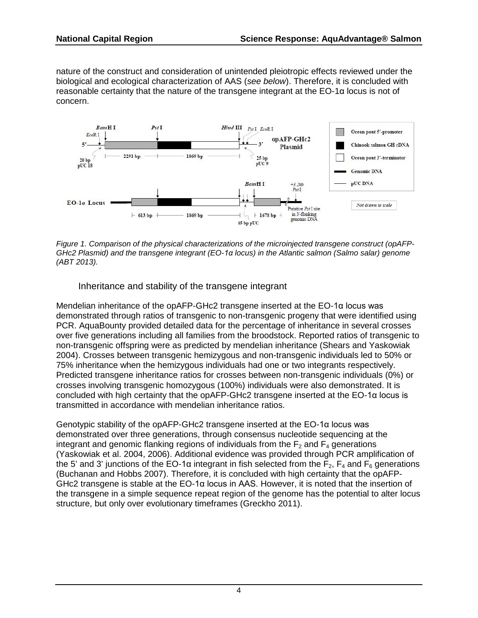nature of the construct and consideration of unintended pleiotropic effects reviewed under the biological and ecological characterization of AAS (*see below*). Therefore, it is concluded with reasonable certainty that the nature of the transgene integrant at the EO-1α locus is not of concern.



*Figure 1. Comparison of the physical characterizations of the microinjected transgene construct (opAFP-GHc2 Plasmid) and the transgene integrant (EO-1α locus) in the Atlantic salmon (Salmo salar) genome (ABT 2013).*

Inheritance and stability of the transgene integrant

Mendelian inheritance of the opAFP-GHc2 transgene inserted at the EO-1α locus was demonstrated through ratios of transgenic to non-transgenic progeny that were identified using PCR. AquaBounty provided detailed data for the percentage of inheritance in several crosses over five generations including all families from the broodstock. Reported ratios of transgenic to non-transgenic offspring were as predicted by mendelian inheritance (Shears and Yaskowiak 2004). Crosses between transgenic hemizygous and non-transgenic individuals led to 50% or 75% inheritance when the hemizygous individuals had one or two integrants respectively. Predicted transgene inheritance ratios for crosses between non-transgenic individuals (0%) or crosses involving transgenic homozygous (100%) individuals were also demonstrated. It is concluded with high certainty that the opAFP-GHc2 transgene inserted at the EO-1α locus is transmitted in accordance with mendelian inheritance ratios.

Genotypic stability of the opAFP-GHc2 transgene inserted at the EO-1α locus was demonstrated over three generations, through consensus nucleotide sequencing at the integrant and genomic flanking regions of individuals from the  $F<sub>2</sub>$  and  $F<sub>4</sub>$  generations (Yaskowiak et al. 2004, 2006). Additional evidence was provided through PCR amplification of the 5' and 3' junctions of the EO-1 $\alpha$  integrant in fish selected from the F<sub>2</sub>, F<sub>4</sub> and F<sub>6</sub> generations (Buchanan and Hobbs 2007). Therefore, it is concluded with high certainty that the opAFP-GHc2 transgene is stable at the EO-1α locus in AAS. However, it is noted that the insertion of the transgene in a simple sequence repeat region of the genome has the potential to alter locus structure, but only over evolutionary timeframes (Greckho 2011).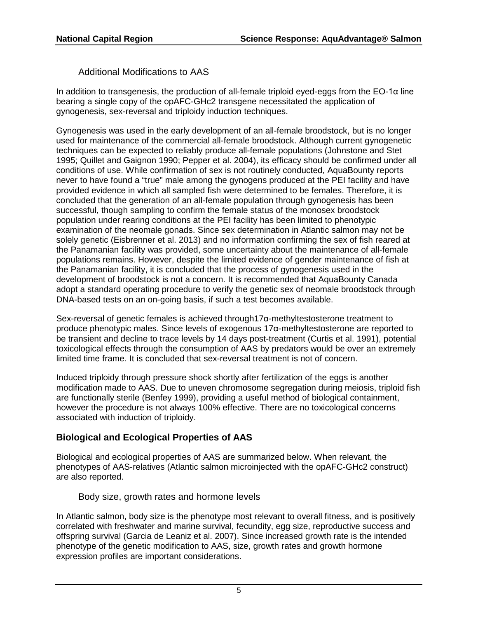Additional Modifications to AAS

In addition to transgenesis, the production of all-female triploid eyed-eggs from the  $E O$ -1 $\alpha$  line bearing a single copy of the opAFC-GHc2 transgene necessitated the application of gynogenesis, sex-reversal and triploidy induction techniques.

Gynogenesis was used in the early development of an all-female broodstock, but is no longer used for maintenance of the commercial all-female broodstock. Although current gynogenetic techniques can be expected to reliably produce all-female populations (Johnstone and Stet 1995; Quillet and Gaignon 1990; Pepper et al. 2004), its efficacy should be confirmed under all conditions of use. While confirmation of sex is not routinely conducted, AquaBounty reports never to have found a "true" male among the gynogens produced at the PEI facility and have provided evidence in which all sampled fish were determined to be females. Therefore, it is concluded that the generation of an all-female population through gynogenesis has been successful, though sampling to confirm the female status of the monosex broodstock population under rearing conditions at the PEI facility has been limited to phenotypic examination of the neomale gonads. Since sex determination in Atlantic salmon may not be solely genetic (Eisbrenner et al. 2013) and no information confirming the sex of fish reared at the Panamanian facility was provided, some uncertainty about the maintenance of all-female populations remains. However, despite the limited evidence of gender maintenance of fish at the Panamanian facility, it is concluded that the process of gynogenesis used in the development of broodstock is not a concern. It is recommended that AquaBounty Canada adopt a standard operating procedure to verify the genetic sex of neomale broodstock through DNA-based tests on an on-going basis, if such a test becomes available.

Sex-reversal of genetic females is achieved through17α-methyltestosterone treatment to produce phenotypic males. Since levels of exogenous 17α-methyltestosterone are reported to be transient and decline to trace levels by 14 days post-treatment (Curtis et al. 1991), potential toxicological effects through the consumption of AAS by predators would be over an extremely limited time frame. It is concluded that sex-reversal treatment is not of concern.

Induced triploidy through pressure shock shortly after fertilization of the eggs is another modification made to AAS. Due to uneven chromosome segregation during meiosis, triploid fish are functionally sterile (Benfey 1999), providing a useful method of biological containment, however the procedure is not always 100% effective. There are no toxicological concerns associated with induction of triploidy.

## **Biological and Ecological Properties of AAS**

Biological and ecological properties of AAS are summarized below. When relevant, the phenotypes of AAS-relatives (Atlantic salmon microinjected with the opAFC-GHc2 construct) are also reported.

Body size, growth rates and hormone levels

In Atlantic salmon, body size is the phenotype most relevant to overall fitness, and is positively correlated with freshwater and marine survival, fecundity, egg size, reproductive success and offspring survival (Garcia de Leaniz et al. 2007). Since increased growth rate is the intended phenotype of the genetic modification to AAS, size, growth rates and growth hormone expression profiles are important considerations.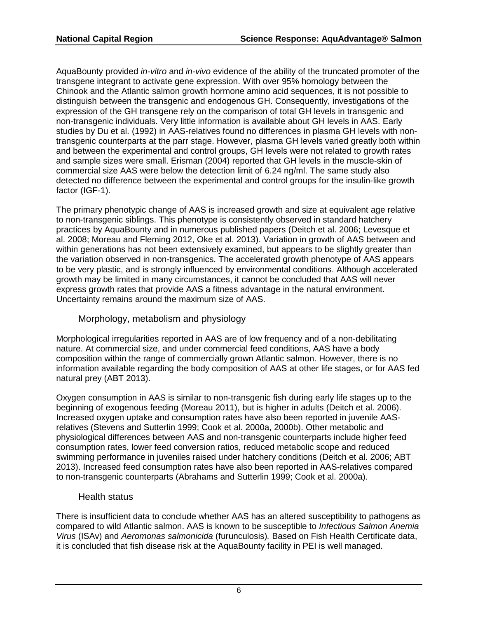AquaBounty provided *in-vitro* and *in-vivo* evidence of the ability of the truncated promoter of the transgene integrant to activate gene expression. With over 95% homology between the Chinook and the Atlantic salmon growth hormone amino acid sequences, it is not possible to distinguish between the transgenic and endogenous GH. Consequently, investigations of the expression of the GH transgene rely on the comparison of total GH levels in transgenic and non-transgenic individuals. Very little information is available about GH levels in AAS. Early studies by Du et al. (1992) in AAS-relatives found no differences in plasma GH levels with nontransgenic counterparts at the parr stage. However, plasma GH levels varied greatly both within and between the experimental and control groups, GH levels were not related to growth rates and sample sizes were small. Erisman (2004) reported that GH levels in the muscle-skin of commercial size AAS were below the detection limit of 6.24 ng/ml. The same study also detected no difference between the experimental and control groups for the insulin-like growth factor (IGF-1).

The primary phenotypic change of AAS is increased growth and size at equivalent age relative to non-transgenic siblings. This phenotype is consistently observed in standard hatchery practices by AquaBounty and in numerous published papers (Deitch et al. 2006; Levesque et al. 2008; Moreau and Fleming 2012, Oke et al. 2013). Variation in growth of AAS between and within generations has not been extensively examined, but appears to be slightly greater than the variation observed in non-transgenics. The accelerated growth phenotype of AAS appears to be very plastic, and is strongly influenced by environmental conditions. Although accelerated growth may be limited in many circumstances, it cannot be concluded that AAS will never express growth rates that provide AAS a fitness advantage in the natural environment. Uncertainty remains around the maximum size of AAS.

#### Morphology, metabolism and physiology

Morphological irregularities reported in AAS are of low frequency and of a non-debilitating nature. At commercial size, and under commercial feed conditions, AAS have a body composition within the range of commercially grown Atlantic salmon. However, there is no information available regarding the body composition of AAS at other life stages, or for AAS fed natural prey (ABT 2013).

Oxygen consumption in AAS is similar to non-transgenic fish during early life stages up to the beginning of exogenous feeding (Moreau 2011), but is higher in adults (Deitch et al. 2006). Increased oxygen uptake and consumption rates have also been reported in juvenile AASrelatives (Stevens and Sutterlin 1999; Cook et al. 2000a, 2000b). Other metabolic and physiological differences between AAS and non-transgenic counterparts include higher feed consumption rates, lower feed conversion ratios, reduced metabolic scope and reduced swimming performance in juveniles raised under hatchery conditions (Deitch et al. 2006; ABT 2013). Increased feed consumption rates have also been reported in AAS-relatives compared to non-transgenic counterparts (Abrahams and Sutterlin 1999; Cook et al. 2000a).

#### Health status

There is insufficient data to conclude whether AAS has an altered susceptibility to pathogens as compared to wild Atlantic salmon. AAS is known to be susceptible to *Infectious Salmon Anemia Virus* (ISAv) and *Aeromonas salmonicida* (furunculosis)*.* Based on Fish Health Certificate data, it is concluded that fish disease risk at the AquaBounty facility in PEI is well managed.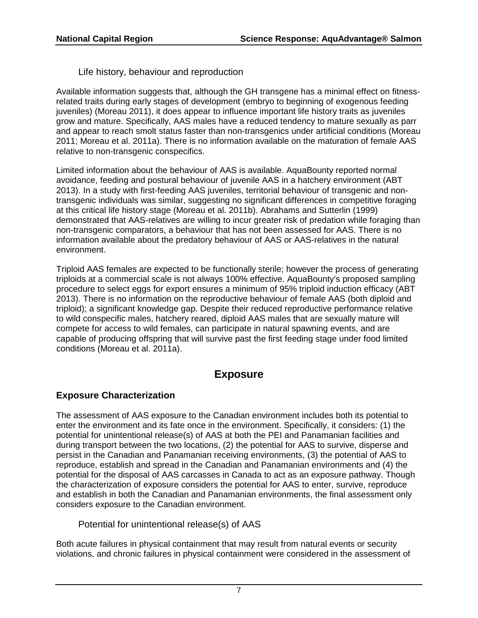Life history, behaviour and reproduction

Available information suggests that, although the GH transgene has a minimal effect on fitnessrelated traits during early stages of development (embryo to beginning of exogenous feeding juveniles) (Moreau 2011), it does appear to influence important life history traits as juveniles grow and mature. Specifically, AAS males have a reduced tendency to mature sexually as parr and appear to reach smolt status faster than non-transgenics under artificial conditions (Moreau 2011; Moreau et al. 2011a). There is no information available on the maturation of female AAS relative to non-transgenic conspecifics.

Limited information about the behaviour of AAS is available. AquaBounty reported normal avoidance, feeding and postural behaviour of juvenile AAS in a hatchery environment (ABT 2013). In a study with first-feeding AAS juveniles, territorial behaviour of transgenic and nontransgenic individuals was similar, suggesting no significant differences in competitive foraging at this critical life history stage (Moreau et al. 2011b). Abrahams and Sutterlin (1999) demonstrated that AAS-relatives are willing to incur greater risk of predation while foraging than non-transgenic comparators, a behaviour that has not been assessed for AAS. There is no information available about the predatory behaviour of AAS or AAS-relatives in the natural environment.

Triploid AAS females are expected to be functionally sterile; however the process of generating triploids at a commercial scale is not always 100% effective. AquaBounty's proposed sampling procedure to select eggs for export ensures a minimum of 95% triploid induction efficacy (ABT 2013). There is no information on the reproductive behaviour of female AAS (both diploid and triploid); a significant knowledge gap. Despite their reduced reproductive performance relative to wild conspecific males, hatchery reared, diploid AAS males that are sexually mature will compete for access to wild females, can participate in natural spawning events, and are capable of producing offspring that will survive past the first feeding stage under food limited conditions (Moreau et al. 2011a).

## **Exposure**

## **Exposure Characterization**

The assessment of AAS exposure to the Canadian environment includes both its potential to enter the environment and its fate once in the environment. Specifically, it considers: (1) the potential for unintentional release(s) of AAS at both the PEI and Panamanian facilities and during transport between the two locations, (2) the potential for AAS to survive, disperse and persist in the Canadian and Panamanian receiving environments, (3) the potential of AAS to reproduce, establish and spread in the Canadian and Panamanian environments and (4) the potential for the disposal of AAS carcasses in Canada to act as an exposure pathway. Though the characterization of exposure considers the potential for AAS to enter, survive, reproduce and establish in both the Canadian and Panamanian environments, the final assessment only considers exposure to the Canadian environment.

Potential for unintentional release(s) of AAS

Both acute failures in physical containment that may result from natural events or security violations, and chronic failures in physical containment were considered in the assessment of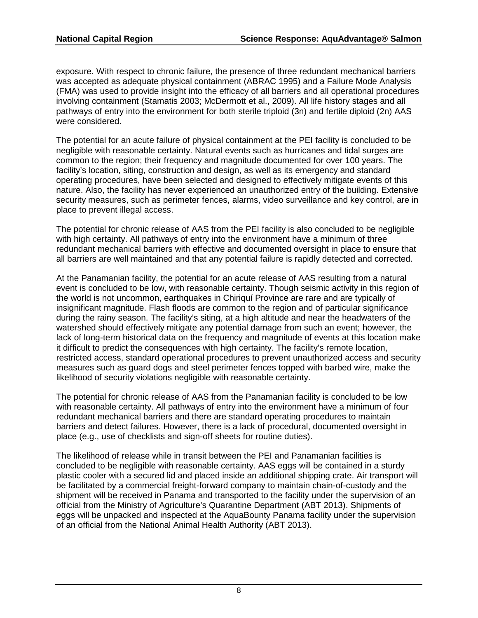exposure. With respect to chronic failure, the presence of three redundant mechanical barriers was accepted as adequate physical containment (ABRAC 1995) and a Failure Mode Analysis (FMA) was used to provide insight into the efficacy of all barriers and all operational procedures involving containment (Stamatis 2003; McDermott et al., 2009). All life history stages and all pathways of entry into the environment for both sterile triploid (3n) and fertile diploid (2n) AAS were considered.

The potential for an acute failure of physical containment at the PEI facility is concluded to be negligible with reasonable certainty. Natural events such as hurricanes and tidal surges are common to the region; their frequency and magnitude documented for over 100 years. The facility's location, siting, construction and design, as well as its emergency and standard operating procedures, have been selected and designed to effectively mitigate events of this nature. Also, the facility has never experienced an unauthorized entry of the building. Extensive security measures, such as perimeter fences, alarms, video surveillance and key control, are in place to prevent illegal access.

The potential for chronic release of AAS from the PEI facility is also concluded to be negligible with high certainty. All pathways of entry into the environment have a minimum of three redundant mechanical barriers with effective and documented oversight in place to ensure that all barriers are well maintained and that any potential failure is rapidly detected and corrected.

At the Panamanian facility, the potential for an acute release of AAS resulting from a natural event is concluded to be low, with reasonable certainty. Though seismic activity in this region of the world is not uncommon, earthquakes in Chiriquí Province are rare and are typically of insignificant magnitude. Flash floods are common to the region and of particular significance during the rainy season. The facility's siting, at a high altitude and near the headwaters of the watershed should effectively mitigate any potential damage from such an event; however, the lack of long-term historical data on the frequency and magnitude of events at this location make it difficult to predict the consequences with high certainty. The facility's remote location, restricted access, standard operational procedures to prevent unauthorized access and security measures such as guard dogs and steel perimeter fences topped with barbed wire, make the likelihood of security violations negligible with reasonable certainty.

The potential for chronic release of AAS from the Panamanian facility is concluded to be low with reasonable certainty. All pathways of entry into the environment have a minimum of four redundant mechanical barriers and there are standard operating procedures to maintain barriers and detect failures. However, there is a lack of procedural, documented oversight in place (e.g., use of checklists and sign-off sheets for routine duties).

The likelihood of release while in transit between the PEI and Panamanian facilities is concluded to be negligible with reasonable certainty. AAS eggs will be contained in a sturdy plastic cooler with a secured lid and placed inside an additional shipping crate. Air transport will be facilitated by a commercial freight-forward company to maintain chain-of-custody and the shipment will be received in Panama and transported to the facility under the supervision of an official from the Ministry of Agriculture's Quarantine Department (ABT 2013). Shipments of eggs will be unpacked and inspected at the AquaBounty Panama facility under the supervision of an official from the National Animal Health Authority (ABT 2013).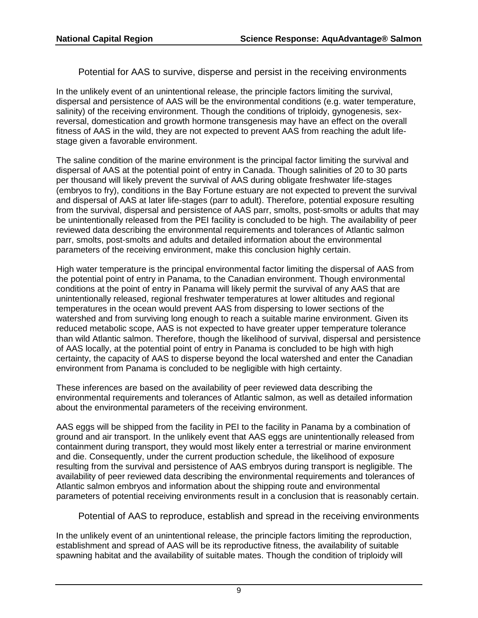Potential for AAS to survive, disperse and persist in the receiving environments

In the unlikely event of an unintentional release, the principle factors limiting the survival, dispersal and persistence of AAS will be the environmental conditions (e.g. water temperature, salinity) of the receiving environment. Though the conditions of triploidy, gynogenesis, sexreversal, domestication and growth hormone transgenesis may have an effect on the overall fitness of AAS in the wild, they are not expected to prevent AAS from reaching the adult lifestage given a favorable environment.

The saline condition of the marine environment is the principal factor limiting the survival and dispersal of AAS at the potential point of entry in Canada. Though salinities of 20 to 30 parts per thousand will likely prevent the survival of AAS during obligate freshwater life-stages (embryos to fry), conditions in the Bay Fortune estuary are not expected to prevent the survival and dispersal of AAS at later life-stages (parr to adult). Therefore, potential exposure resulting from the survival, dispersal and persistence of AAS parr, smolts, post-smolts or adults that may be unintentionally released from the PEI facility is concluded to be high. The availability of peer reviewed data describing the environmental requirements and tolerances of Atlantic salmon parr, smolts, post-smolts and adults and detailed information about the environmental parameters of the receiving environment, make this conclusion highly certain.

High water temperature is the principal environmental factor limiting the dispersal of AAS from the potential point of entry in Panama, to the Canadian environment. Though environmental conditions at the point of entry in Panama will likely permit the survival of any AAS that are unintentionally released, regional freshwater temperatures at lower altitudes and regional temperatures in the ocean would prevent AAS from dispersing to lower sections of the watershed and from surviving long enough to reach a suitable marine environment. Given its reduced metabolic scope, AAS is not expected to have greater upper temperature tolerance than wild Atlantic salmon. Therefore, though the likelihood of survival, dispersal and persistence of AAS locally, at the potential point of entry in Panama is concluded to be high with high certainty, the capacity of AAS to disperse beyond the local watershed and enter the Canadian environment from Panama is concluded to be negligible with high certainty.

These inferences are based on the availability of peer reviewed data describing the environmental requirements and tolerances of Atlantic salmon, as well as detailed information about the environmental parameters of the receiving environment.

AAS eggs will be shipped from the facility in PEI to the facility in Panama by a combination of ground and air transport. In the unlikely event that AAS eggs are unintentionally released from containment during transport, they would most likely enter a terrestrial or marine environment and die. Consequently, under the current production schedule, the likelihood of exposure resulting from the survival and persistence of AAS embryos during transport is negligible. The availability of peer reviewed data describing the environmental requirements and tolerances of Atlantic salmon embryos and information about the shipping route and environmental parameters of potential receiving environments result in a conclusion that is reasonably certain.

Potential of AAS to reproduce, establish and spread in the receiving environments

In the unlikely event of an unintentional release, the principle factors limiting the reproduction, establishment and spread of AAS will be its reproductive fitness, the availability of suitable spawning habitat and the availability of suitable mates. Though the condition of triploidy will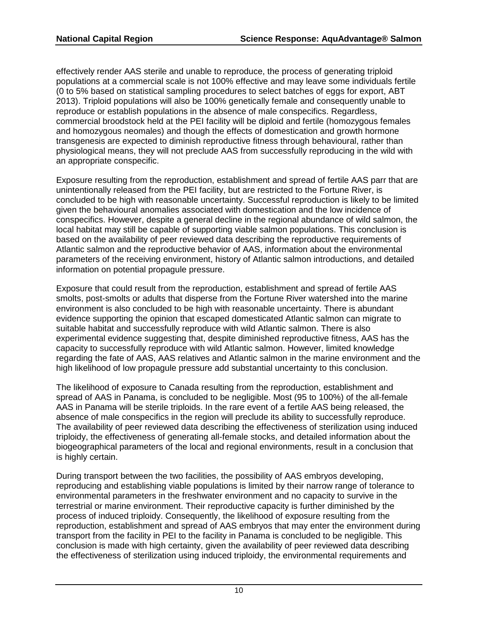effectively render AAS sterile and unable to reproduce, the process of generating triploid populations at a commercial scale is not 100% effective and may leave some individuals fertile (0 to 5% based on statistical sampling procedures to select batches of eggs for export, ABT 2013). Triploid populations will also be 100% genetically female and consequently unable to reproduce or establish populations in the absence of male conspecifics. Regardless, commercial broodstock held at the PEI facility will be diploid and fertile (homozygous females and homozygous neomales) and though the effects of domestication and growth hormone transgenesis are expected to diminish reproductive fitness through behavioural, rather than physiological means, they will not preclude AAS from successfully reproducing in the wild with an appropriate conspecific.

Exposure resulting from the reproduction, establishment and spread of fertile AAS parr that are unintentionally released from the PEI facility, but are restricted to the Fortune River, is concluded to be high with reasonable uncertainty. Successful reproduction is likely to be limited given the behavioural anomalies associated with domestication and the low incidence of conspecifics. However, despite a general decline in the regional abundance of wild salmon, the local habitat may still be capable of supporting viable salmon populations. This conclusion is based on the availability of peer reviewed data describing the reproductive requirements of Atlantic salmon and the reproductive behavior of AAS, information about the environmental parameters of the receiving environment, history of Atlantic salmon introductions, and detailed information on potential propagule pressure.

Exposure that could result from the reproduction, establishment and spread of fertile AAS smolts, post-smolts or adults that disperse from the Fortune River watershed into the marine environment is also concluded to be high with reasonable uncertainty. There is abundant evidence supporting the opinion that escaped domesticated Atlantic salmon can migrate to suitable habitat and successfully reproduce with wild Atlantic salmon. There is also experimental evidence suggesting that, despite diminished reproductive fitness, AAS has the capacity to successfully reproduce with wild Atlantic salmon. However, limited knowledge regarding the fate of AAS, AAS relatives and Atlantic salmon in the marine environment and the high likelihood of low propagule pressure add substantial uncertainty to this conclusion.

The likelihood of exposure to Canada resulting from the reproduction, establishment and spread of AAS in Panama, is concluded to be negligible. Most (95 to 100%) of the all-female AAS in Panama will be sterile triploids. In the rare event of a fertile AAS being released, the absence of male conspecifics in the region will preclude its ability to successfully reproduce. The availability of peer reviewed data describing the effectiveness of sterilization using induced triploidy, the effectiveness of generating all-female stocks, and detailed information about the biogeographical parameters of the local and regional environments, result in a conclusion that is highly certain.

During transport between the two facilities, the possibility of AAS embryos developing, reproducing and establishing viable populations is limited by their narrow range of tolerance to environmental parameters in the freshwater environment and no capacity to survive in the terrestrial or marine environment. Their reproductive capacity is further diminished by the process of induced triploidy. Consequently, the likelihood of exposure resulting from the reproduction, establishment and spread of AAS embryos that may enter the environment during transport from the facility in PEI to the facility in Panama is concluded to be negligible. This conclusion is made with high certainty, given the availability of peer reviewed data describing the effectiveness of sterilization using induced triploidy, the environmental requirements and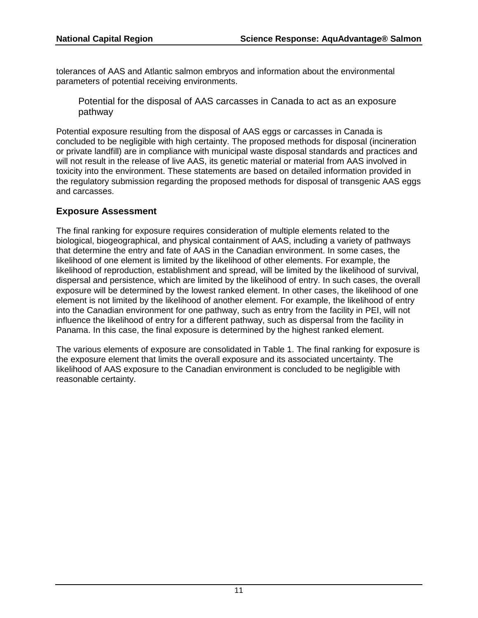tolerances of AAS and Atlantic salmon embryos and information about the environmental parameters of potential receiving environments.

Potential for the disposal of AAS carcasses in Canada to act as an exposure pathway

Potential exposure resulting from the disposal of AAS eggs or carcasses in Canada is concluded to be negligible with high certainty. The proposed methods for disposal (incineration or private landfill) are in compliance with municipal waste disposal standards and practices and will not result in the release of live AAS, its genetic material or material from AAS involved in toxicity into the environment. These statements are based on detailed information provided in the regulatory submission regarding the proposed methods for disposal of transgenic AAS eggs and carcasses.

### **Exposure Assessment**

The final ranking for exposure requires consideration of multiple elements related to the biological, biogeographical, and physical containment of AAS, including a variety of pathways that determine the entry and fate of AAS in the Canadian environment. In some cases, the likelihood of one element is limited by the likelihood of other elements. For example, the likelihood of reproduction, establishment and spread, will be limited by the likelihood of survival, dispersal and persistence, which are limited by the likelihood of entry. In such cases, the overall exposure will be determined by the lowest ranked element. In other cases, the likelihood of one element is not limited by the likelihood of another element. For example, the likelihood of entry into the Canadian environment for one pathway, such as entry from the facility in PEI, will not influence the likelihood of entry for a different pathway, such as dispersal from the facility in Panama. In this case, the final exposure is determined by the highest ranked element.

The various elements of exposure are consolidated in Table 1. The final ranking for exposure is the exposure element that limits the overall exposure and its associated uncertainty. The likelihood of AAS exposure to the Canadian environment is concluded to be negligible with reasonable certainty.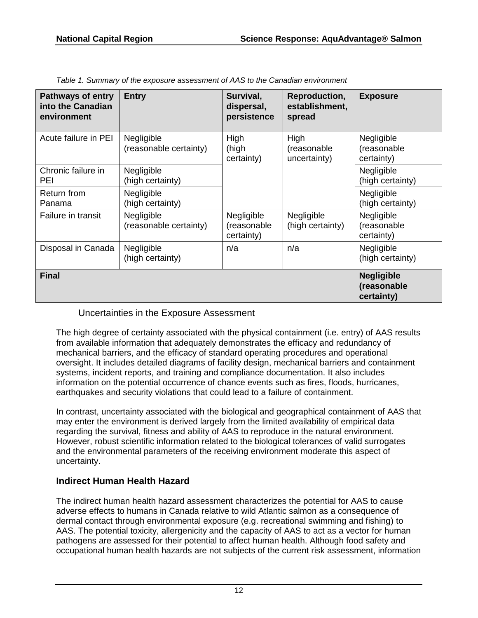| <b>Pathways of entry</b><br>into the Canadian<br>environment | <b>Entry</b>                         | Survival,<br>dispersal,<br>persistence  | Reproduction,<br>establishment,<br>spread | <b>Exposure</b>                                |
|--------------------------------------------------------------|--------------------------------------|-----------------------------------------|-------------------------------------------|------------------------------------------------|
| Acute failure in PEI                                         | Negligible<br>(reasonable certainty) | High<br>(high<br>certainty)             | High<br>(reasonable<br>uncertainty)       | Negligible<br>(reasonable<br>certainty)        |
| Chronic failure in<br><b>PEI</b>                             | Negligible<br>(high certainty)       |                                         |                                           | Negligible<br>(high certainty)                 |
| Return from<br>Panama                                        | Negligible<br>(high certainty)       |                                         |                                           | Negligible<br>(high certainty)                 |
| Failure in transit                                           | Negligible<br>(reasonable certainty) | Negligible<br>(reasonable<br>certainty) | Negligible<br>(high certainty)            | Negligible<br>(reasonable<br>certainty)        |
| Disposal in Canada                                           | Negligible<br>(high certainty)       | n/a                                     | n/a                                       | Negligible<br>(high certainty)                 |
| <b>Final</b>                                                 |                                      |                                         |                                           | <b>Negligible</b><br>(reasonable<br>certainty) |

*Table 1. Summary of the exposure assessment of AAS to the Canadian environment*

Uncertainties in the Exposure Assessment

The high degree of certainty associated with the physical containment (i.e. entry) of AAS results from available information that adequately demonstrates the efficacy and redundancy of mechanical barriers, and the efficacy of standard operating procedures and operational oversight. It includes detailed diagrams of facility design, mechanical barriers and containment systems, incident reports, and training and compliance documentation. It also includes information on the potential occurrence of chance events such as fires, floods, hurricanes, earthquakes and security violations that could lead to a failure of containment.

In contrast, uncertainty associated with the biological and geographical containment of AAS that may enter the environment is derived largely from the limited availability of empirical data regarding the survival, fitness and ability of AAS to reproduce in the natural environment. However, robust scientific information related to the biological tolerances of valid surrogates and the environmental parameters of the receiving environment moderate this aspect of uncertainty.

## **Indirect Human Health Hazard**

The indirect human health hazard assessment characterizes the potential for AAS to cause adverse effects to humans in Canada relative to wild Atlantic salmon as a consequence of dermal contact through environmental exposure (e.g. recreational swimming and fishing) to AAS. The potential toxicity, allergenicity and the capacity of AAS to act as a vector for human pathogens are assessed for their potential to affect human health. Although food safety and occupational human health hazards are not subjects of the current risk assessment, information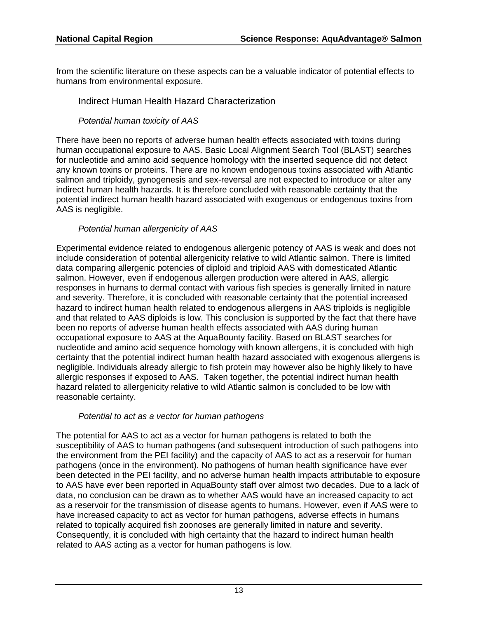from the scientific literature on these aspects can be a valuable indicator of potential effects to humans from environmental exposure.

#### Indirect Human Health Hazard Characterization

*Potential human toxicity of AAS*

There have been no reports of adverse human health effects associated with toxins during human occupational exposure to AAS. Basic Local Alignment Search Tool (BLAST) searches for nucleotide and amino acid sequence homology with the inserted sequence did not detect any known toxins or proteins. There are no known endogenous toxins associated with Atlantic salmon and triploidy, gynogenesis and sex-reversal are not expected to introduce or alter any indirect human health hazards. It is therefore concluded with reasonable certainty that the potential indirect human health hazard associated with exogenous or endogenous toxins from AAS is negligible.

#### *Potential human allergenicity of AAS*

Experimental evidence related to endogenous allergenic potency of AAS is weak and does not include consideration of potential allergenicity relative to wild Atlantic salmon. There is limited data comparing allergenic potencies of diploid and triploid AAS with domesticated Atlantic salmon. However, even if endogenous allergen production were altered in AAS, allergic responses in humans to dermal contact with various fish species is generally limited in nature and severity. Therefore, it is concluded with reasonable certainty that the potential increased hazard to indirect human health related to endogenous allergens in AAS triploids is negligible and that related to AAS diploids is low. This conclusion is supported by the fact that there have been no reports of adverse human health effects associated with AAS during human occupational exposure to AAS at the AquaBounty facility. Based on BLAST searches for nucleotide and amino acid sequence homology with known allergens, it is concluded with high certainty that the potential indirect human health hazard associated with exogenous allergens is negligible. Individuals already allergic to fish protein may however also be highly likely to have allergic responses if exposed to AAS. Taken together, the potential indirect human health hazard related to allergenicity relative to wild Atlantic salmon is concluded to be low with reasonable certainty.

#### *Potential to act as a vector for human pathogens*

The potential for AAS to act as a vector for human pathogens is related to both the susceptibility of AAS to human pathogens (and subsequent introduction of such pathogens into the environment from the PEI facility) and the capacity of AAS to act as a reservoir for human pathogens (once in the environment). No pathogens of human health significance have ever been detected in the PEI facility, and no adverse human health impacts attributable to exposure to AAS have ever been reported in AquaBounty staff over almost two decades. Due to a lack of data, no conclusion can be drawn as to whether AAS would have an increased capacity to act as a reservoir for the transmission of disease agents to humans. However, even if AAS were to have increased capacity to act as vector for human pathogens, adverse effects in humans related to topically acquired fish zoonoses are generally limited in nature and severity. Consequently, it is concluded with high certainty that the hazard to indirect human health related to AAS acting as a vector for human pathogens is low.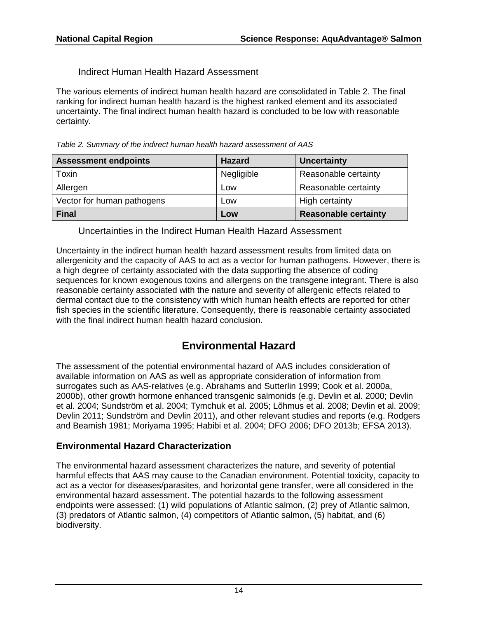Indirect Human Health Hazard Assessment

The various elements of indirect human health hazard are consolidated in Table 2. The final ranking for indirect human health hazard is the highest ranked element and its associated uncertainty. The final indirect human health hazard is concluded to be low with reasonable certainty.

*Table 2. Summary of the indirect human health hazard assessment of AAS*

| <b>Assessment endpoints</b> | <b>Hazard</b> | <b>Uncertainty</b>          |
|-----------------------------|---------------|-----------------------------|
| Toxin                       | Negligible    | Reasonable certainty        |
| Allergen                    | Low           | Reasonable certainty        |
| Vector for human pathogens  | Low           | High certainty              |
| <b>Final</b>                | Low           | <b>Reasonable certainty</b> |

Uncertainties in the Indirect Human Health Hazard Assessment

Uncertainty in the indirect human health hazard assessment results from limited data on allergenicity and the capacity of AAS to act as a vector for human pathogens. However, there is a high degree of certainty associated with the data supporting the absence of coding sequences for known exogenous toxins and allergens on the transgene integrant. There is also reasonable certainty associated with the nature and severity of allergenic effects related to dermal contact due to the consistency with which human health effects are reported for other fish species in the scientific literature. Consequently, there is reasonable certainty associated with the final indirect human health hazard conclusion.

## **Environmental Hazard**

The assessment of the potential environmental hazard of AAS includes consideration of available information on AAS as well as appropriate consideration of information from surrogates such as AAS-relatives (e.g. Abrahams and Sutterlin 1999; Cook et al. 2000a, 2000b), other growth hormone enhanced transgenic salmonids (e.g. Devlin et al. 2000; Devlin et al. 2004; Sundström et al. 2004; Tymchuk et al. 2005; Lõhmus et al. 2008; Devlin et al. 2009; Devlin 2011; Sundström and Devlin 2011), and other relevant studies and reports (e.g. Rodgers and Beamish 1981; Moriyama 1995; Habibi et al. 2004; DFO 2006; DFO 2013b; EFSA 2013).

#### **Environmental Hazard Characterization**

The environmental hazard assessment characterizes the nature, and severity of potential harmful effects that AAS may cause to the Canadian environment. Potential toxicity, capacity to act as a vector for diseases/parasites, and horizontal gene transfer, were all considered in the environmental hazard assessment. The potential hazards to the following assessment endpoints were assessed: (1) wild populations of Atlantic salmon, (2) prey of Atlantic salmon, (3) predators of Atlantic salmon, (4) competitors of Atlantic salmon, (5) habitat, and (6) biodiversity.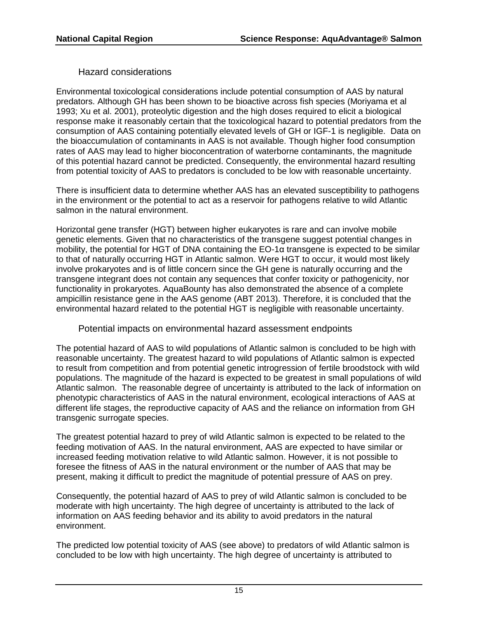Hazard considerations

Environmental toxicological considerations include potential consumption of AAS by natural predators. Although GH has been shown to be bioactive across fish species (Moriyama et al 1993; Xu et al. 2001), proteolytic digestion and the high doses required to elicit a biological response make it reasonably certain that the toxicological hazard to potential predators from the consumption of AAS containing potentially elevated levels of GH or IGF-1 is negligible. Data on the bioaccumulation of contaminants in AAS is not available. Though higher food consumption rates of AAS may lead to higher bioconcentration of waterborne contaminants, the magnitude of this potential hazard cannot be predicted. Consequently, the environmental hazard resulting from potential toxicity of AAS to predators is concluded to be low with reasonable uncertainty.

There is insufficient data to determine whether AAS has an elevated susceptibility to pathogens in the environment or the potential to act as a reservoir for pathogens relative to wild Atlantic salmon in the natural environment.

Horizontal gene transfer (HGT) between higher eukaryotes is rare and can involve mobile genetic elements. Given that no characteristics of the transgene suggest potential changes in mobility, the potential for HGT of DNA containing the EO-1α transgene is expected to be similar to that of naturally occurring HGT in Atlantic salmon. Were HGT to occur, it would most likely involve prokaryotes and is of little concern since the GH gene is naturally occurring and the transgene integrant does not contain any sequences that confer toxicity or pathogenicity, nor functionality in prokaryotes. AquaBounty has also demonstrated the absence of a complete ampicillin resistance gene in the AAS genome (ABT 2013). Therefore, it is concluded that the environmental hazard related to the potential HGT is negligible with reasonable uncertainty.

Potential impacts on environmental hazard assessment endpoints

The potential hazard of AAS to wild populations of Atlantic salmon is concluded to be high with reasonable uncertainty. The greatest hazard to wild populations of Atlantic salmon is expected to result from competition and from potential genetic introgression of fertile broodstock with wild populations. The magnitude of the hazard is expected to be greatest in small populations of wild Atlantic salmon. The reasonable degree of uncertainty is attributed to the lack of information on phenotypic characteristics of AAS in the natural environment, ecological interactions of AAS at different life stages, the reproductive capacity of AAS and the reliance on information from GH transgenic surrogate species.

The greatest potential hazard to prey of wild Atlantic salmon is expected to be related to the feeding motivation of AAS. In the natural environment, AAS are expected to have similar or increased feeding motivation relative to wild Atlantic salmon. However, it is not possible to foresee the fitness of AAS in the natural environment or the number of AAS that may be present, making it difficult to predict the magnitude of potential pressure of AAS on prey.

Consequently, the potential hazard of AAS to prey of wild Atlantic salmon is concluded to be moderate with high uncertainty. The high degree of uncertainty is attributed to the lack of information on AAS feeding behavior and its ability to avoid predators in the natural environment.

The predicted low potential toxicity of AAS (see above) to predators of wild Atlantic salmon is concluded to be low with high uncertainty. The high degree of uncertainty is attributed to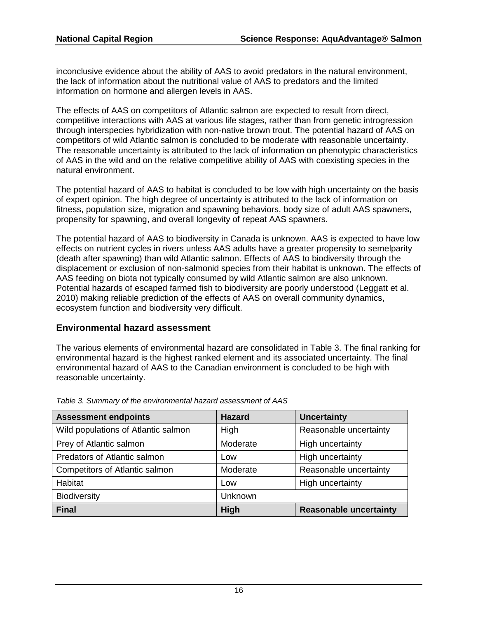inconclusive evidence about the ability of AAS to avoid predators in the natural environment, the lack of information about the nutritional value of AAS to predators and the limited information on hormone and allergen levels in AAS.

The effects of AAS on competitors of Atlantic salmon are expected to result from direct, competitive interactions with AAS at various life stages, rather than from genetic introgression through interspecies hybridization with non-native brown trout. The potential hazard of AAS on competitors of wild Atlantic salmon is concluded to be moderate with reasonable uncertainty. The reasonable uncertainty is attributed to the lack of information on phenotypic characteristics of AAS in the wild and on the relative competitive ability of AAS with coexisting species in the natural environment.

The potential hazard of AAS to habitat is concluded to be low with high uncertainty on the basis of expert opinion. The high degree of uncertainty is attributed to the lack of information on fitness, population size, migration and spawning behaviors, body size of adult AAS spawners, propensity for spawning, and overall longevity of repeat AAS spawners.

The potential hazard of AAS to biodiversity in Canada is unknown. AAS is expected to have low effects on nutrient cycles in rivers unless AAS adults have a greater propensity to semelparity (death after spawning) than wild Atlantic salmon. Effects of AAS to biodiversity through the displacement or exclusion of non-salmonid species from their habitat is unknown. The effects of AAS feeding on biota not typically consumed by wild Atlantic salmon are also unknown. Potential hazards of escaped farmed fish to biodiversity are poorly understood (Leggatt et al. 2010) making reliable prediction of the effects of AAS on overall community dynamics, ecosystem function and biodiversity very difficult.

#### **Environmental hazard assessment**

The various elements of environmental hazard are consolidated in Table 3. The final ranking for environmental hazard is the highest ranked element and its associated uncertainty. The final environmental hazard of AAS to the Canadian environment is concluded to be high with reasonable uncertainty.

| <b>Assessment endpoints</b>           | <b>Hazard</b>  | <b>Uncertainty</b>            |
|---------------------------------------|----------------|-------------------------------|
| Wild populations of Atlantic salmon   | High           | Reasonable uncertainty        |
| Prey of Atlantic salmon               | Moderate       | High uncertainty              |
| Predators of Atlantic salmon          | Low            | High uncertainty              |
| <b>Competitors of Atlantic salmon</b> | Moderate       | Reasonable uncertainty        |
| <b>Habitat</b>                        | Low            | High uncertainty              |
| <b>Biodiversity</b>                   | <b>Unknown</b> |                               |
| <b>Final</b>                          | High           | <b>Reasonable uncertainty</b> |

*Table 3. Summary of the environmental hazard assessment of AAS*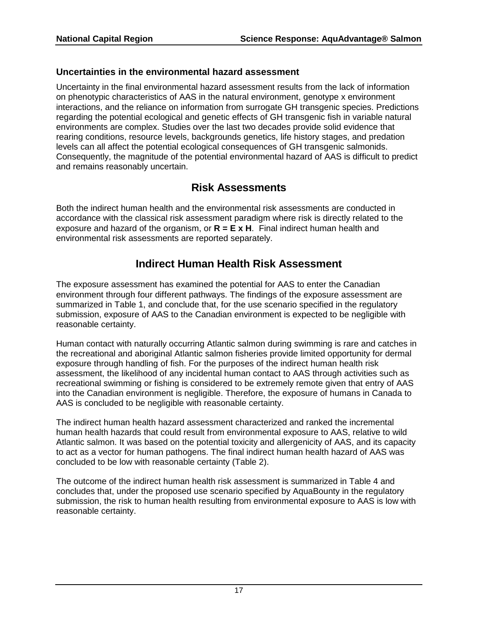#### **Uncertainties in the environmental hazard assessment**

Uncertainty in the final environmental hazard assessment results from the lack of information on phenotypic characteristics of AAS in the natural environment, genotype x environment interactions, and the reliance on information from surrogate GH transgenic species. Predictions regarding the potential ecological and genetic effects of GH transgenic fish in variable natural environments are complex. Studies over the last two decades provide solid evidence that rearing conditions, resource levels, backgrounds genetics, life history stages, and predation levels can all affect the potential ecological consequences of GH transgenic salmonids. Consequently, the magnitude of the potential environmental hazard of AAS is difficult to predict and remains reasonably uncertain.

## **Risk Assessments**

Both the indirect human health and the environmental risk assessments are conducted in accordance with the classical risk assessment paradigm where risk is directly related to the exposure and hazard of the organism, or **R = E x H**. Final indirect human health and environmental risk assessments are reported separately.

## **Indirect Human Health Risk Assessment**

The exposure assessment has examined the potential for AAS to enter the Canadian environment through four different pathways. The findings of the exposure assessment are summarized in Table 1, and conclude that, for the use scenario specified in the regulatory submission, exposure of AAS to the Canadian environment is expected to be negligible with reasonable certainty.

Human contact with naturally occurring Atlantic salmon during swimming is rare and catches in the recreational and aboriginal Atlantic salmon fisheries provide limited opportunity for dermal exposure through handling of fish. For the purposes of the indirect human health risk assessment, the likelihood of any incidental human contact to AAS through activities such as recreational swimming or fishing is considered to be extremely remote given that entry of AAS into the Canadian environment is negligible. Therefore, the exposure of humans in Canada to AAS is concluded to be negligible with reasonable certainty.

The indirect human health hazard assessment characterized and ranked the incremental human health hazards that could result from environmental exposure to AAS, relative to wild Atlantic salmon. It was based on the potential toxicity and allergenicity of AAS, and its capacity to act as a vector for human pathogens. The final indirect human health hazard of AAS was concluded to be low with reasonable certainty (Table 2).

The outcome of the indirect human health risk assessment is summarized in Table 4 and concludes that, under the proposed use scenario specified by AquaBounty in the regulatory submission, the risk to human health resulting from environmental exposure to AAS is low with reasonable certainty.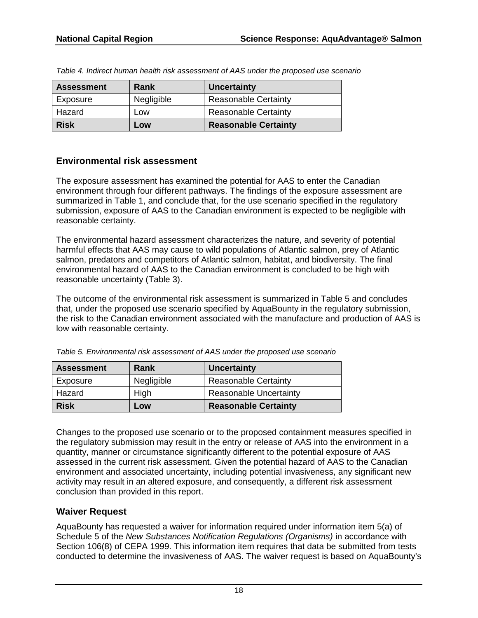| <b>Assessment</b> | Rank       | <b>Uncertainty</b>          |
|-------------------|------------|-----------------------------|
| Exposure          | Negligible | <b>Reasonable Certainty</b> |
| Hazard            | Low        | <b>Reasonable Certainty</b> |
| <b>Risk</b>       | Low        | <b>Reasonable Certainty</b> |

*Table 4. Indirect human health risk assessment of AAS under the proposed use scenario*

### **Environmental risk assessment**

The exposure assessment has examined the potential for AAS to enter the Canadian environment through four different pathways. The findings of the exposure assessment are summarized in Table 1, and conclude that, for the use scenario specified in the regulatory submission, exposure of AAS to the Canadian environment is expected to be negligible with reasonable certainty.

The environmental hazard assessment characterizes the nature, and severity of potential harmful effects that AAS may cause to wild populations of Atlantic salmon, prey of Atlantic salmon, predators and competitors of Atlantic salmon, habitat, and biodiversity. The final environmental hazard of AAS to the Canadian environment is concluded to be high with reasonable uncertainty (Table 3).

The outcome of the environmental risk assessment is summarized in Table 5 and concludes that, under the proposed use scenario specified by AquaBounty in the regulatory submission, the risk to the Canadian environment associated with the manufacture and production of AAS is low with reasonable certainty.

| <b>Assessment</b> | Rank       | <b>Uncertainty</b>            |
|-------------------|------------|-------------------------------|
| Exposure          | Negligible | <b>Reasonable Certainty</b>   |
| Hazard            | High       | <b>Reasonable Uncertainty</b> |
| <b>Risk</b>       | Low        | <b>Reasonable Certainty</b>   |

*Table 5. Environmental risk assessment of AAS under the proposed use scenario*

Changes to the proposed use scenario or to the proposed containment measures specified in the regulatory submission may result in the entry or release of AAS into the environment in a quantity, manner or circumstance significantly different to the potential exposure of AAS assessed in the current risk assessment. Given the potential hazard of AAS to the Canadian environment and associated uncertainty, including potential invasiveness, any significant new activity may result in an altered exposure, and consequently, a different risk assessment conclusion than provided in this report.

## **Waiver Request**

AquaBounty has requested a waiver for information required under information item 5(a) of Schedule 5 of the *New Substances Notification Regulations (Organisms)* in accordance with Section 106(8) of CEPA 1999. This information item requires that data be submitted from tests conducted to determine the invasiveness of AAS. The waiver request is based on AquaBounty's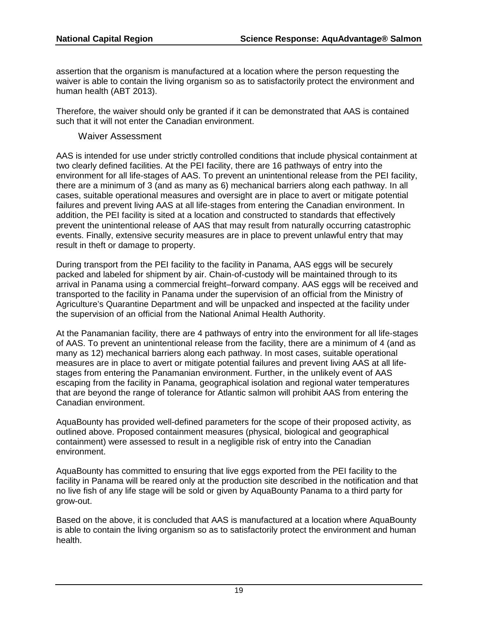assertion that the organism is manufactured at a location where the person requesting the waiver is able to contain the living organism so as to satisfactorily protect the environment and human health (ABT 2013).

Therefore, the waiver should only be granted if it can be demonstrated that AAS is contained such that it will not enter the Canadian environment.

#### Waiver Assessment

AAS is intended for use under strictly controlled conditions that include physical containment at two clearly defined facilities. At the PEI facility, there are 16 pathways of entry into the environment for all life-stages of AAS. To prevent an unintentional release from the PEI facility, there are a minimum of 3 (and as many as 6) mechanical barriers along each pathway. In all cases, suitable operational measures and oversight are in place to avert or mitigate potential failures and prevent living AAS at all life-stages from entering the Canadian environment. In addition, the PEI facility is sited at a location and constructed to standards that effectively prevent the unintentional release of AAS that may result from naturally occurring catastrophic events. Finally, extensive security measures are in place to prevent unlawful entry that may result in theft or damage to property.

During transport from the PEI facility to the facility in Panama, AAS eggs will be securely packed and labeled for shipment by air. Chain-of-custody will be maintained through to its arrival in Panama using a commercial freight–forward company. AAS eggs will be received and transported to the facility in Panama under the supervision of an official from the Ministry of Agriculture's Quarantine Department and will be unpacked and inspected at the facility under the supervision of an official from the National Animal Health Authority.

At the Panamanian facility, there are 4 pathways of entry into the environment for all life-stages of AAS. To prevent an unintentional release from the facility, there are a minimum of 4 (and as many as 12) mechanical barriers along each pathway. In most cases, suitable operational measures are in place to avert or mitigate potential failures and prevent living AAS at all lifestages from entering the Panamanian environment. Further, in the unlikely event of AAS escaping from the facility in Panama, geographical isolation and regional water temperatures that are beyond the range of tolerance for Atlantic salmon will prohibit AAS from entering the Canadian environment.

AquaBounty has provided well-defined parameters for the scope of their proposed activity, as outlined above. Proposed containment measures (physical, biological and geographical containment) were assessed to result in a negligible risk of entry into the Canadian environment.

AquaBounty has committed to ensuring that live eggs exported from the PEI facility to the facility in Panama will be reared only at the production site described in the notification and that no live fish of any life stage will be sold or given by AquaBounty Panama to a third party for grow-out.

Based on the above, it is concluded that AAS is manufactured at a location where AquaBounty is able to contain the living organism so as to satisfactorily protect the environment and human health.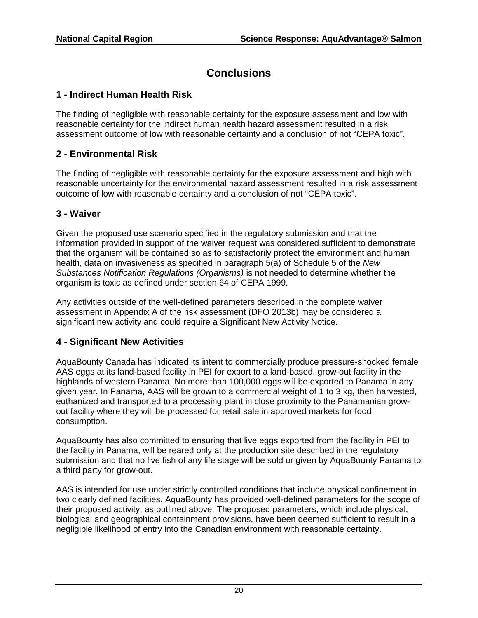## **Conclusions**

#### **1 - Indirect Human Health Risk**

The finding of negligible with reasonable certainty for the exposure assessment and low with reasonable certainty for the indirect human health hazard assessment resulted in a risk assessment outcome of low with reasonable certainty and a conclusion of not "CEPA toxic".

#### **2 - Environmental Risk**

The finding of negligible with reasonable certainty for the exposure assessment and high with reasonable uncertainty for the environmental hazard assessment resulted in a risk assessment outcome of low with reasonable certainty and a conclusion of not "CEPA toxic".

#### **3 - Waiver**

Given the proposed use scenario specified in the regulatory submission and that the information provided in support of the waiver request was considered sufficient to demonstrate that the organism will be contained so as to satisfactorily protect the environment and human health, data on invasiveness as specified in paragraph 5(a) of Schedule 5 of the *New Substances Notification Regulations (Organisms)* is not needed to determine whether the organism is toxic as defined under section 64 of CEPA 1999.

Any activities outside of the well-defined parameters described in the complete waiver assessment in Appendix A of the risk assessment (DFO 2013b) may be considered a significant new activity and could require a Significant New Activity Notice.

#### **4 - Significant New Activities**

AquaBounty Canada has indicated its intent to commercially produce pressure-shocked female AAS eggs at its land-based facility in PEI for export to a land-based, grow-out facility in the highlands of western Panama. No more than 100,000 eggs will be exported to Panama in any given year. In Panama, AAS will be grown to a commercial weight of 1 to 3 kg, then harvested, euthanized and transported to a processing plant in close proximity to the Panamanian growout facility where they will be processed for retail sale in approved markets for food consumption.

AquaBounty has also committed to ensuring that live eggs exported from the facility in PEI to the facility in Panama, will be reared only at the production site described in the regulatory submission and that no live fish of any life stage will be sold or given by AquaBounty Panama to a third party for grow-out.

AAS is intended for use under strictly controlled conditions that include physical confinement in two clearly defined facilities. AquaBounty has provided well-defined parameters for the scope of their proposed activity, as outlined above. The proposed parameters, which include physical, biological and geographical containment provisions, have been deemed sufficient to result in a negligible likelihood of entry into the Canadian environment with reasonable certainty.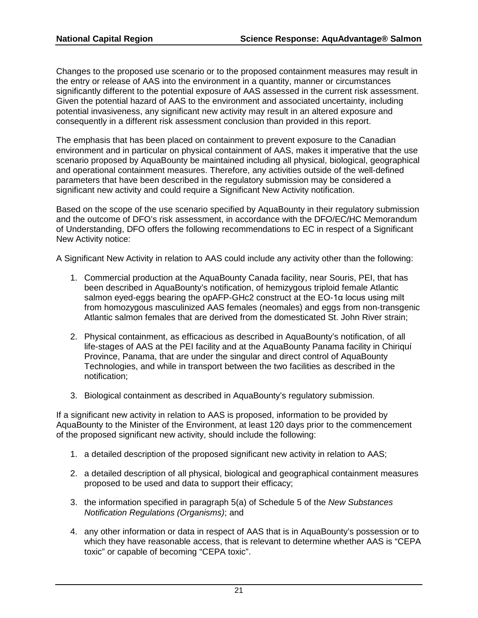Changes to the proposed use scenario or to the proposed containment measures may result in the entry or release of AAS into the environment in a quantity, manner or circumstances significantly different to the potential exposure of AAS assessed in the current risk assessment. Given the potential hazard of AAS to the environment and associated uncertainty, including potential invasiveness, any significant new activity may result in an altered exposure and consequently in a different risk assessment conclusion than provided in this report.

The emphasis that has been placed on containment to prevent exposure to the Canadian environment and in particular on physical containment of AAS, makes it imperative that the use scenario proposed by AquaBounty be maintained including all physical, biological, geographical and operational containment measures. Therefore, any activities outside of the well-defined parameters that have been described in the regulatory submission may be considered a significant new activity and could require a Significant New Activity notification.

Based on the scope of the use scenario specified by AquaBounty in their regulatory submission and the outcome of DFO's risk assessment, in accordance with the DFO/EC/HC Memorandum of Understanding, DFO offers the following recommendations to EC in respect of a Significant New Activity notice:

A Significant New Activity in relation to AAS could include any activity other than the following:

- 1. Commercial production at the AquaBounty Canada facility, near Souris, PEI, that has been described in AquaBounty's notification, of hemizygous triploid female Atlantic salmon eyed-eggs bearing the opAFP-GHc2 construct at the EO-1α locus using milt from homozygous masculinized AAS females (neomales) and eggs from non-transgenic Atlantic salmon females that are derived from the domesticated St. John River strain;
- 2. Physical containment, as efficacious as described in AquaBounty's notification, of all life-stages of AAS at the PEI facility and at the AquaBounty Panama facility in Chiriquí Province, Panama, that are under the singular and direct control of AquaBounty Technologies, and while in transport between the two facilities as described in the notification;
- 3. Biological containment as described in AquaBounty's regulatory submission.

If a significant new activity in relation to AAS is proposed, information to be provided by AquaBounty to the Minister of the Environment, at least 120 days prior to the commencement of the proposed significant new activity, should include the following:

- 1. a detailed description of the proposed significant new activity in relation to AAS;
- 2. a detailed description of all physical, biological and geographical containment measures proposed to be used and data to support their efficacy;
- 3. the information specified in paragraph 5(a) of Schedule 5 of the *New Substances Notification Regulations (Organisms)*; and
- 4. any other information or data in respect of AAS that is in AquaBounty's possession or to which they have reasonable access, that is relevant to determine whether AAS is "CEPA toxic" or capable of becoming "CEPA toxic".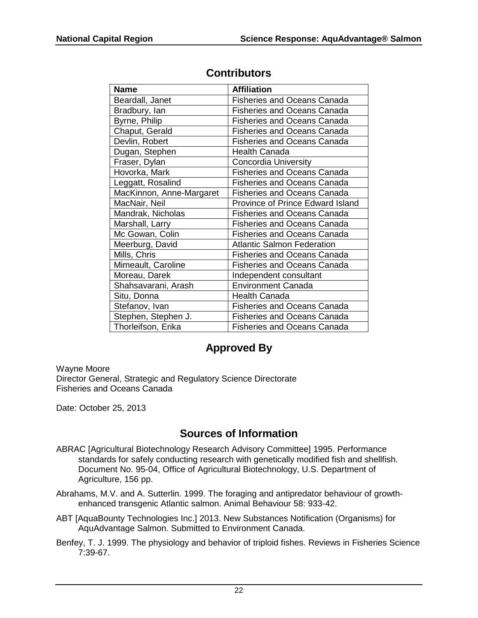| <b>Name</b>              | <b>Affiliation</b>                 |
|--------------------------|------------------------------------|
| Beardall, Janet          | <b>Fisheries and Oceans Canada</b> |
| Bradbury, lan            | <b>Fisheries and Oceans Canada</b> |
| Byrne, Philip            | <b>Fisheries and Oceans Canada</b> |
| Chaput, Gerald           | <b>Fisheries and Oceans Canada</b> |
| Devlin, Robert           | <b>Fisheries and Oceans Canada</b> |
| Dugan, Stephen           | <b>Health Canada</b>               |
| Fraser, Dylan            | <b>Concordia University</b>        |
| Hovorka, Mark            | <b>Fisheries and Oceans Canada</b> |
| Leggatt, Rosalind        | <b>Fisheries and Oceans Canada</b> |
| MacKinnon, Anne-Margaret | <b>Fisheries and Oceans Canada</b> |
| MacNair, Neil            | Province of Prince Edward Island   |
| Mandrak, Nicholas        | <b>Fisheries and Oceans Canada</b> |
| Marshall, Larry          | <b>Fisheries and Oceans Canada</b> |
| Mc Gowan, Colin          | <b>Fisheries and Oceans Canada</b> |
| Meerburg, David          | <b>Atlantic Salmon Federation</b>  |
| Mills, Chris             | <b>Fisheries and Oceans Canada</b> |
| Mimeault, Caroline       | <b>Fisheries and Oceans Canada</b> |
| Moreau, Darek            | Independent consultant             |
| Shahsavarani, Arash      | <b>Environment Canada</b>          |
| Situ, Donna              | <b>Health Canada</b>               |
| Stefanov, Ivan           | <b>Fisheries and Oceans Canada</b> |
| Stephen, Stephen J.      | <b>Fisheries and Oceans Canada</b> |
| Thorleifson, Erika       | Fisheries and Oceans Canada        |

## **Contributors**

## **Approved By**

Wayne Moore Director General, Strategic and Regulatory Science Directorate Fisheries and Oceans Canada

Date: October 25, 2013

## **Sources of Information**

- ABRAC [Agricultural Biotechnology Research Advisory Committee] 1995. Performance standards for safely conducting research with genetically modified fish and shellfish. Document No. 95-04, Office of Agricultural Biotechnology, U.S. Department of Agriculture, 156 pp.
- Abrahams, M.V. and A. Sutterlin. 1999. The foraging and antipredator behaviour of growthenhanced transgenic Atlantic salmon. Animal Behaviour 58: 933-42.
- ABT [AquaBounty Technologies Inc.] 2013. New Substances Notification (Organisms) for AquAdvantage Salmon. Submitted to Environment Canada.
- Benfey, T. J. 1999. The physiology and behavior of triploid fishes. Reviews in Fisheries Science 7:39-67.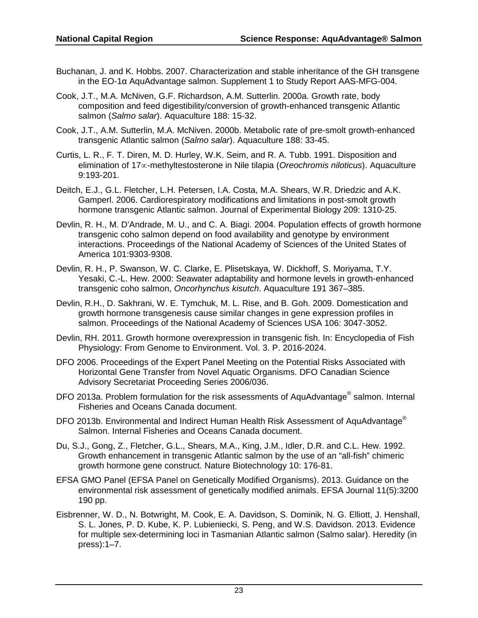- Buchanan, J. and K. Hobbs. 2007. Characterization and stable inheritance of the GH transgene in the EO-1α AquAdvantage salmon. Supplement 1 to Study Report AAS-MFG-004.
- Cook, J.T., M.A. McNiven, G.F. Richardson, A.M. Sutterlin. 2000a. Growth rate, body composition and feed digestibility/conversion of growth-enhanced transgenic Atlantic salmon (*Salmo salar*). Aquaculture 188: 15-32.
- Cook, J.T., A.M. Sutterlin, M.A. McNiven. 2000b. Metabolic rate of pre-smolt growth-enhanced transgenic Atlantic salmon (*Salmo salar*). Aquaculture 188: 33-45.
- Curtis, L. R., F. T. Diren, M. D. Hurley, W.K. Seim, and R. A. Tubb. 1991. Disposition and elimination of 17∝-methyltestosterone in Nile tilapia (*Oreochromis niloticus*). Aquaculture 9:193-201.
- Deitch, E.J., G.L. Fletcher, L.H. Petersen, I.A. Costa, M.A. Shears, W.R. Driedzic and A.K. Gamperl. 2006. Cardiorespiratory modifications and limitations in post-smolt growth hormone transgenic Atlantic salmon. Journal of Experimental Biology 209: 1310-25.
- Devlin, R. H., M. D'Andrade, M. U., and C. A. Biagi. 2004. Population effects of growth hormone transgenic coho salmon depend on food availability and genotype by environment interactions. Proceedings of the National Academy of Sciences of the United States of America 101:9303-9308.
- Devlin, R. H., P. Swanson, W. C. Clarke, E. Plisetskaya, W. Dickhoff, S. Moriyama, T.Y. Yesaki, C.-L. Hew. 2000: Seawater adaptability and hormone levels in growth-enhanced transgenic coho salmon, *Oncorhynchus kisutch*. Aquaculture 191 367–385.
- Devlin, R.H., D. Sakhrani, W. E. Tymchuk, M. L. Rise, and B. Goh. 2009. Domestication and growth hormone transgenesis cause similar changes in gene expression profiles in salmon. Proceedings of the National Academy of Sciences USA 106: 3047-3052.
- Devlin, RH. 2011. Growth hormone overexpression in transgenic fish. In: Encyclopedia of Fish Physiology: From Genome to Environment. Vol. 3. P. 2016-2024.
- DFO 2006. Proceedings of the Expert Panel Meeting on the Potential Risks Associated with Horizontal Gene Transfer from Novel Aquatic Organisms. DFO Canadian Science Advisory Secretariat Proceeding Series 2006/036.
- DFO 2013a. Problem formulation for the risk assessments of AquAdvantage<sup>®</sup> salmon. Internal Fisheries and Oceans Canada document.
- DFO 2013b. Environmental and Indirect Human Health Risk Assessment of AquAdvantage<sup>®</sup> Salmon. Internal Fisheries and Oceans Canada document.
- Du, S.J., Gong, Z., Fletcher, G.L., Shears, M.A., King, J.M., Idler, D.R. and C.L. Hew. 1992. Growth enhancement in transgenic Atlantic salmon by the use of an "all-fish" chimeric growth hormone gene construct. Nature Biotechnology 10: 176-81.
- EFSA GMO Panel (EFSA Panel on Genetically Modified Organisms). 2013. Guidance on the environmental risk assessment of genetically modified animals. EFSA Journal 11(5):3200 190 pp.
- Eisbrenner, W. D., N. Botwright, M. Cook, E. A. Davidson, S. Dominik, N. G. Elliott, J. Henshall, S. L. Jones, P. D. Kube, K. P. Lubieniecki, S. Peng, and W.S. Davidson. 2013. Evidence for multiple sex-determining loci in Tasmanian Atlantic salmon (Salmo salar). Heredity (in press):1–7.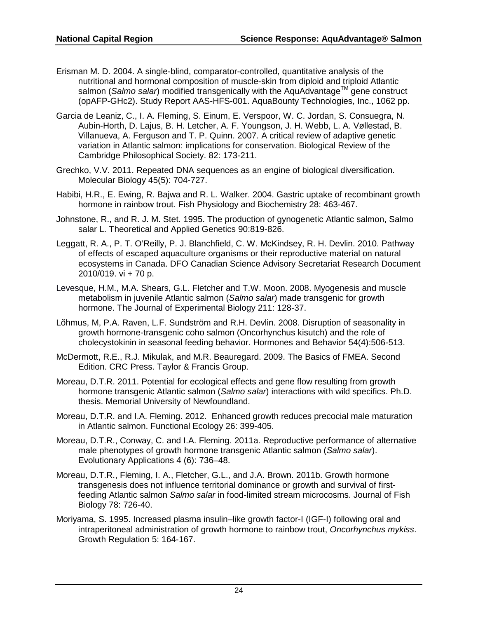- Erisman M. D. 2004. A single-blind, comparator-controlled, quantitative analysis of the nutritional and hormonal composition of muscle-skin from diploid and triploid Atlantic salmon (*Salmo salar*) modified transgenically with the AquAdvantage<sup>TM</sup> gene construct (opAFP-GHc2). Study Report AAS-HFS-001. AquaBounty Technologies, Inc., 1062 pp.
- Garcia de Leaniz, C., I. A. Fleming, S. Einum, E. Verspoor, W. C. Jordan, S. Consuegra, N. Aubin-Horth, D. Lajus, B. H. Letcher, A. F. Youngson, J. H. Webb, L. A. Vøllestad, B. Villanueva, A. Ferguson and T. P. Quinn. 2007. A critical review of adaptive genetic variation in Atlantic salmon: implications for conservation. Biological Review of the Cambridge Philosophical Society. 82: 173-211.
- Grechko, V.V. 2011. Repeated DNA sequences as an engine of biological diversification. Molecular Biology 45(5): 704-727.
- Habibi, H.R., E. Ewing, R. Bajwa and R. L. Walker. 2004. Gastric uptake of recombinant growth hormone in rainbow trout. Fish Physiology and Biochemistry 28: 463-467.
- Johnstone, R., and R. J. M. Stet. 1995. The production of gynogenetic Atlantic salmon, Salmo salar L. Theoretical and Applied Genetics 90:819-826.
- Leggatt, R. A., P. T. O'Reilly, P. J. Blanchfield, C. W. McKindsey, R. H. Devlin. 2010. Pathway of effects of escaped aquaculture organisms or their reproductive material on natural ecosystems in Canada. DFO Canadian Science Advisory Secretariat Research Document 2010/019. vi + 70 p.
- Levesque, H.M., M.A. Shears, G.L. Fletcher and T.W. Moon. 2008. Myogenesis and muscle metabolism in juvenile Atlantic salmon (*Salmo salar*) made transgenic for growth hormone. The Journal of Experimental Biology 211: 128-37.
- Lõhmus, M, P.A. Raven, L.F. Sundström and R.H. Devlin. 2008. Disruption of seasonality in growth hormone-transgenic coho salmon (Oncorhynchus kisutch) and the role of cholecystokinin in seasonal feeding behavior. Hormones and Behavior 54(4):506-513.
- McDermott, R.E., R.J. Mikulak, and M.R. Beauregard. 2009. The Basics of FMEA. Second Edition. CRC Press. Taylor & Francis Group.
- Moreau, D.T.R. 2011. Potential for ecological effects and gene flow resulting from growth hormone transgenic Atlantic salmon (*Salmo salar*) interactions with wild specifics. Ph.D. thesis. Memorial University of Newfoundland.
- Moreau, D.T.R. and I.A. Fleming. 2012. Enhanced growth reduces precocial male maturation in Atlantic salmon. Functional Ecology 26: 399-405.
- Moreau, D.T.R., Conway, C. and I.A. Fleming. 2011a. Reproductive performance of alternative male phenotypes of growth hormone transgenic Atlantic salmon (*Salmo salar*). Evolutionary Applications 4 (6): 736–48.
- Moreau, D.T.R., Fleming, I. A., Fletcher, G.L., and J.A. Brown. 2011b. Growth hormone transgenesis does not influence territorial dominance or growth and survival of firstfeeding Atlantic salmon *Salmo salar* in food-limited stream microcosms. Journal of Fish Biology 78: 726-40.
- Moriyama, S. 1995. Increased plasma insulin–like growth factor-I (IGF-I) following oral and intraperitoneal administration of growth hormone to rainbow trout, *Oncorhynchus mykiss*. Growth Regulation 5: 164-167.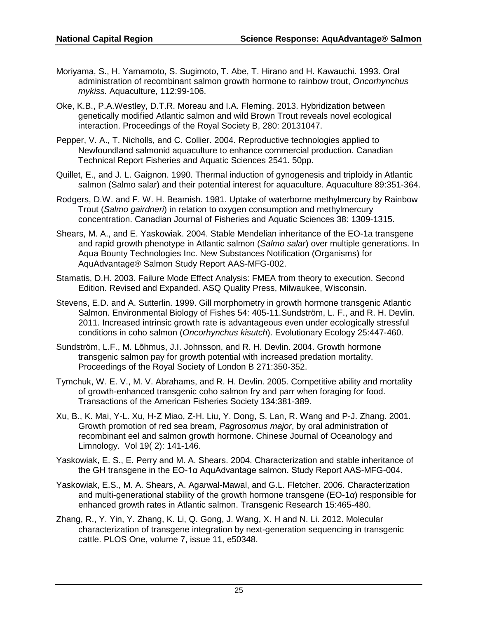- Moriyama, S., H. Yamamoto, S. Sugimoto, T. Abe, T. Hirano and H. Kawauchi. 1993. Oral administration of recombinant salmon growth hormone to rainbow trout, *Oncorhynchus mykiss.* Aquaculture, 112:99-106.
- Oke, K.B., P.A.Westley, D.T.R. Moreau and I.A. Fleming. 2013. Hybridization between genetically modified Atlantic salmon and wild Brown Trout reveals novel ecological interaction. Proceedings of the Royal Society B, 280: 20131047.
- Pepper, V. A., T. Nicholls, and C. Collier. 2004. Reproductive technologies applied to Newfoundland salmonid aquaculture to enhance commercial production. Canadian Technical Report Fisheries and Aquatic Sciences 2541. 50pp.
- Quillet, E., and J. L. Gaignon. 1990. Thermal induction of gynogenesis and triploidy in Atlantic salmon (Salmo salar) and their potential interest for aquaculture. Aquaculture 89:351-364.
- Rodgers, D.W. and F. W. H. Beamish. 1981. Uptake of waterborne methylmercury by Rainbow Trout (*Salmo gairdneri*) in relation to oxygen consumption and methylmercury concentration. Canadian Journal of Fisheries and Aquatic Sciences 38: 1309-1315.
- Shears, M. A., and E. Yaskowiak. 2004. Stable Mendelian inheritance of the EO-1a transgene and rapid growth phenotype in Atlantic salmon (*Salmo salar*) over multiple generations. In Aqua Bounty Technologies Inc. New Substances Notification (Organisms) for AquAdvantage® Salmon Study Report AAS-MFG-002.
- Stamatis, D.H. 2003. Failure Mode Effect Analysis: FMEA from theory to execution. Second Edition. Revised and Expanded. ASQ Quality Press, Milwaukee, Wisconsin.
- Stevens, E.D. and A. Sutterlin. 1999. Gill morphometry in growth hormone transgenic Atlantic Salmon. Environmental Biology of Fishes 54: 405-11.Sundström, L. F., and R. H. Devlin. 2011. Increased intrinsic growth rate is advantageous even under ecologically stressful conditions in coho salmon (*Oncorhynchus kisutch*). Evolutionary Ecology 25:447-460.
- Sundström, L.F., M. Lõhmus, J.I. Johnsson, and R. H. Devlin. 2004. Growth hormone transgenic salmon pay for growth potential with increased predation mortality. Proceedings of the Royal Society of London B 271:350-352.
- Tymchuk, W. E. V., M. V. Abrahams, and R. H. Devlin. 2005. Competitive ability and mortality of growth-enhanced transgenic coho salmon fry and parr when foraging for food. Transactions of the American Fisheries Society 134:381-389.
- Xu, B., K. Mai, Y-L. Xu, H-Z Miao, Z-H. Liu, Y. Dong, S. Lan, R. Wang and P-J. Zhang. 2001. Growth promotion of red sea bream, *Pagrosomus major*, by oral administration of recombinant eel and salmon growth hormone. Chinese Journal of Oceanology and Limnology. Vol 19( 2): 141-146.
- Yaskowiak, E. S., E. Perry and M. A. Shears. 2004. Characterization and stable inheritance of the GH transgene in the EO-1α AquAdvantage salmon. Study Report AAS-MFG-004.
- Yaskowiak, E.S., M. A. Shears, A. Agarwal-Mawal, and G.L. Fletcher. 2006. Characterization and multi-generational stability of the growth hormone transgene (EO-1*α*) responsible for enhanced growth rates in Atlantic salmon. Transgenic Research 15:465-480.
- Zhang, R., Y. Yin, Y. Zhang, K. Li, Q. Gong, J. Wang, X. H and N. Li. 2012. Molecular characterization of transgene integration by next-generation sequencing in transgenic cattle. PLOS One, volume 7, issue 11, e50348.